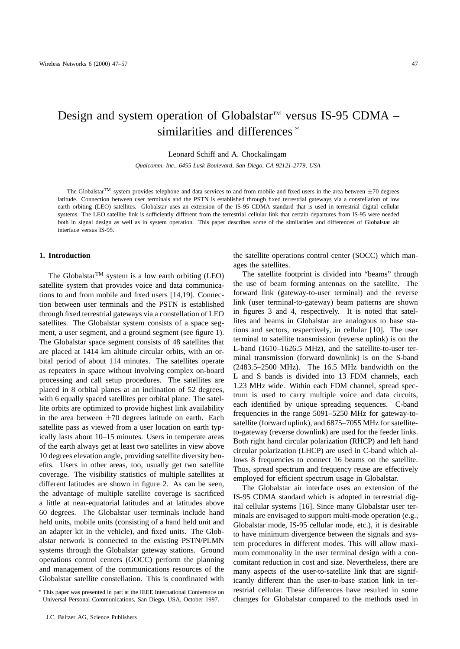# Design and system operation of Globalstar<sup> $M$ </sup> versus IS-95 CDMA – similarities and differences<sup>\*</sup>

Leonard Schiff and A. Chockalingam

*Qualcomm, Inc., 6455 Lusk Boulevard, San Diego, CA 92121-2779, USA*

The Globalstar<sup>TM</sup> system provides telephone and data services to and from mobile and fixed users in the area between  $\pm 70$  degrees latitude. Connection between user terminals and the PSTN is established through fixed terrestrial gateways via a constellation of low earth orbiting (LEO) satellites. Globalstar uses an extension of the IS-95 CDMA standard that is used in terrestrial digital cellular systems. The LEO satellite link is sufficiently different from the terrestrial cellular link that certain departures from IS-95 were needed both in signal design as well as in system operation. This paper describes some of the similarities and differences of Globalstar air interface versus IS-95.

# **1. Introduction**

The Globalstar<sup>TM</sup> system is a low earth orbiting (LEO) satellite system that provides voice and data communications to and from mobile and fixed users [14,19]. Connection between user terminals and the PSTN is established through fixed terrestrial gateways via a constellation of LEO satellites. The Globalstar system consists of a space segment, a user segment, and a ground segment (see figure 1). The Globalstar space segment consists of 48 satellites that are placed at 1414 km altitude circular orbits, with an orbital period of about 114 minutes. The satellites operate as repeaters in space without involving complex on-board processing and call setup procedures. The satellites are placed in 8 orbital planes at an inclination of 52 degrees, with 6 equally spaced satellites per orbital plane. The satellite orbits are optimized to provide highest link availability in the area between  $\pm 70$  degrees latitude on earth. Each satellite pass as viewed from a user location on earth typically lasts about 10–15 minutes. Users in temperate areas of the earth always get at least two satellites in view above 10 degrees elevation angle, providing satellite diversity benefits. Users in other areas, too, usually get two satellite coverage. The visibility statistics of multiple satellites at different latitudes are shown in figure 2. As can be seen, the advantage of multiple satellite coverage is sacrificed a little at near-equatorial latitudes and at latitudes above 60 degrees. The Globalstar user terminals include hand held units, mobile units (consisting of a hand held unit and an adapter kit in the vehicle), and fixed units. The Globalstar network is connected to the existing PSTN/PLMN systems through the Globalstar gateway stations. Ground operations control centers (GOCC) perform the planning and management of the communications resources of the Globalstar satellite constellation. This is coordinated with

the satellite operations control center (SOCC) which manages the satellites.

The satellite footprint is divided into "beams" through the use of beam forming antennas on the satellite. The forward link (gateway-to-user terminal) and the reverse link (user terminal-to-gateway) beam patterns are shown in figures 3 and 4, respectively. It is noted that satellites and beams in Globalstar are analogous to base stations and sectors, respectively, in cellular [10]. The user terminal to satellite transmission (reverse uplink) is on the L-band (1610–1626.5 MHz), and the satellite-to-user terminal transmission (forward downlink) is on the S-band (2483.5–2500 MHz). The 16.5 MHz bandwidth on the L and S bands is divided into 13 FDM channels, each 1.23 MHz wide. Within each FDM channel, spread spectrum is used to carry multiple voice and data circuits, each identified by unique spreading sequences. C-band frequencies in the range 5091–5250 MHz for gateway-tosatellite (forward uplink), and 6875–7055 MHz for satelliteto-gateway (reverse downlink) are used for the feeder links. Both right hand circular polarization (RHCP) and left hand circular polarization (LHCP) are used in C-band which allows 8 frequencies to connect 16 beams on the satellite. Thus, spread spectrum and frequency reuse are effectively employed for efficient spectrum usage in Globalstar.

The Globalstar air interface uses an extension of the IS-95 CDMA standard which is adopted in terrestrial digital cellular systems [16]. Since many Globalstar user terminals are envisaged to support multi-mode operation (e.g., Globalstar mode, IS-95 cellular mode, etc.), it is desirable to have minimum divergence between the signals and system procedures in different modes. This will allow maximum commonality in the user terminal design with a concomitant reduction in cost and size. Nevertheless, there are many aspects of the user-to-satellite link that are significantly different than the user-to-base station link in terrestrial cellular. These differences have resulted in some changes for Globalstar compared to the methods used in

<sup>∗</sup> This paper was presented in part at the IEEE International Conference on Universal Personal Communications, San Diego, USA, October 1997.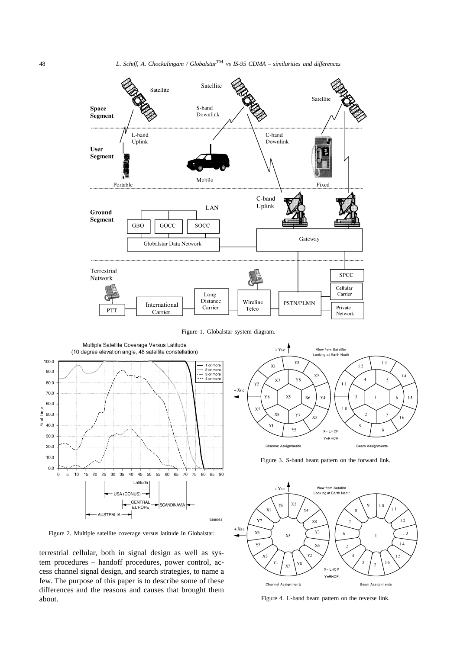

Figure 1. Globalstar system diagram.



Figure 2. Multiple satellite coverage versus latitude in Globalstar.

terrestrial cellular, both in signal design as well as system procedures – handoff procedures, power control, access channel signal design, and search strategies, to name a few. The purpose of this paper is to describe some of these differences and the reasons and causes that brought them about.



Figure 3. S-band beam pattern on the forward link.



Figure 4. L-band beam pattern on the reverse link.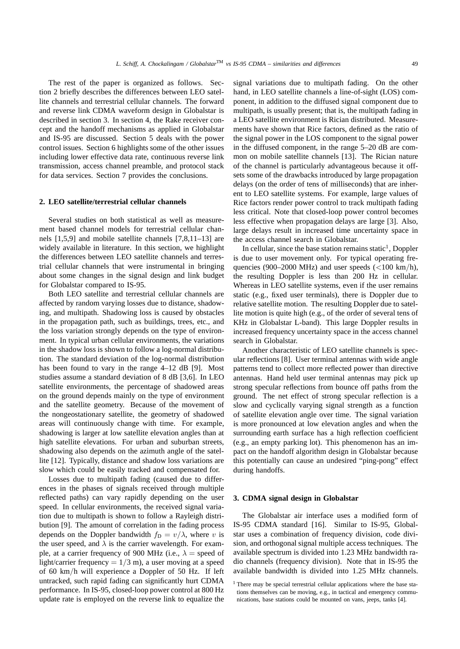The rest of the paper is organized as follows. Section 2 briefly describes the differences between LEO satellite channels and terrestrial cellular channels. The forward and reverse link CDMA waveform design in Globalstar is described in section 3. In section 4, the Rake receiver concept and the handoff mechanisms as applied in Globalstar and IS-95 are discussed. Section 5 deals with the power control issues. Section 6 highlights some of the other issues including lower effective data rate, continuous reverse link transmission, access channel preamble, and protocol stack for data services. Section 7 provides the conclusions.

### **2. LEO satellite/terrestrial cellular channels**

Several studies on both statistical as well as measurement based channel models for terrestrial cellular channels [1,5,9] and mobile satellite channels [7,8,11–13] are widely available in literature. In this section, we highlight the differences between LEO satellite channels and terrestrial cellular channels that were instrumental in bringing about some changes in the signal design and link budget for Globalstar compared to IS-95.

Both LEO satellite and terrestrial cellular channels are affected by random varying losses due to distance, shadowing, and multipath. Shadowing loss is caused by obstacles in the propagation path, such as buildings, trees, etc., and the loss variation strongly depends on the type of environment. In typical urban cellular environments, the variations in the shadow loss is shown to follow a log-normal distribution. The standard deviation of the log-normal distribution has been found to vary in the range 4–12 dB [9]. Most studies assume a standard deviation of 8 dB [3,6]. In LEO satellite environments, the percentage of shadowed areas on the ground depends mainly on the type of environment and the satellite geometry. Because of the movement of the nongeostationary satellite, the geometry of shadowed areas will continuously change with time. For example, shadowing is larger at low satellite elevation angles than at high satellite elevations. For urban and suburban streets, shadowing also depends on the azimuth angle of the satellite [12]. Typically, distance and shadow loss variations are slow which could be easily tracked and compensated for.

Losses due to multipath fading (caused due to differences in the phases of signals received through multiple reflected paths) can vary rapidly depending on the user speed. In cellular environments, the received signal variation due to multipath is shown to follow a Rayleigh distribution [9]. The amount of correlation in the fading process depends on the Doppler bandwidth  $f_D = v/\lambda$ , where v is the user speed, and  $\lambda$  is the carrier wavelength. For example, at a carrier frequency of 900 MHz (i.e.,  $\lambda$  = speed of light/carrier frequency =  $1/3$  m), a user moving at a speed of 60 km/h will experience a Doppler of 50 Hz. If left untracked, such rapid fading can significantly hurt CDMA performance. In IS-95, closed-loop power control at 800 Hz update rate is employed on the reverse link to equalize the signal variations due to multipath fading. On the other hand, in LEO satellite channels a line-of-sight (LOS) component, in addition to the diffused signal component due to multipath, is usually present; that is, the multipath fading in a LEO satellite environment is Rician distributed. Measurements have shown that Rice factors, defined as the ratio of the signal power in the LOS component to the signal power in the diffused component, in the range 5–20 dB are common on mobile satellite channels [13]. The Rician nature of the channel is particularly advantageous because it offsets some of the drawbacks introduced by large propagation delays (on the order of tens of milliseconds) that are inherent to LEO satellite systems. For example, large values of Rice factors render power control to track multipath fading less critical. Note that closed-loop power control becomes less effective when propagation delays are large [3]. Also, large delays result in increased time uncertainty space in the access channel search in Globalstar.

In cellular, since the base station remains static<sup>1</sup>, Doppler is due to user movement only. For typical operating frequencies (900–2000 MHz) and user speeds ( $\langle 100 \text{ km/h} \rangle$ , the resulting Doppler is less than 200 Hz in cellular. Whereas in LEO satellite systems, even if the user remains static (e.g., fixed user terminals), there is Doppler due to relative satellite motion. The resulting Doppler due to satellite motion is quite high (e.g., of the order of several tens of KHz in Globalstar L-band). This large Doppler results in increased frequency uncertainty space in the access channel search in Globalstar.

Another characteristic of LEO satellite channels is specular reflections [8]. User terminal antennas with wide angle patterns tend to collect more reflected power than directive antennas. Hand held user terminal antennas may pick up strong specular reflections from bounce off paths from the ground. The net effect of strong specular reflection is a slow and cyclically varying signal strength as a function of satellite elevation angle over time. The signal variation is more pronounced at low elevation angles and when the surrounding earth surface has a high reflection coefficient (e.g., an empty parking lot). This phenomenon has an impact on the handoff algorithm design in Globalstar because this potentially can cause an undesired "ping-pong" effect during handoffs.

# **3. CDMA signal design in Globalstar**

The Globalstar air interface uses a modified form of IS-95 CDMA standard [16]. Similar to IS-95, Globalstar uses a combination of frequency division, code division, and orthogonal signal multiple access techniques. The available spectrum is divided into 1.23 MHz bandwidth radio channels (frequency division). Note that in IS-95 the available bandwidth is divided into 1.25 MHz channels.

<sup>&</sup>lt;sup>1</sup> There may be special terrestrial cellular applications where the base stations themselves can be moving, e.g., in tactical and emergency communications, base stations could be mounted on vans, jeeps, tanks [4].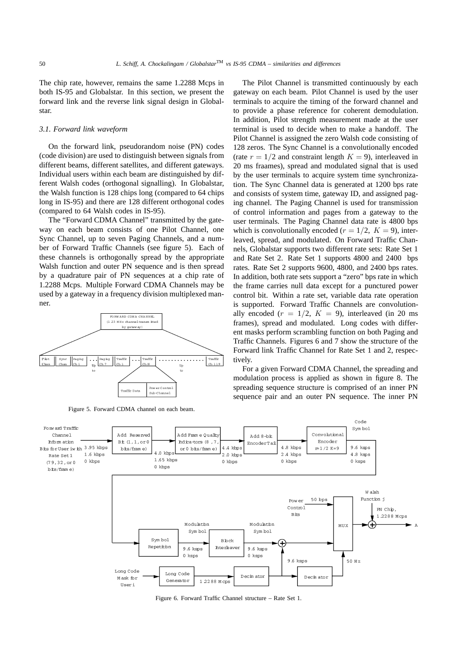The chip rate, however, remains the same 1.2288 Mcps in both IS-95 and Globalstar. In this section, we present the forward link and the reverse link signal design in Globalstar.

#### *3.1. Forward link waveform*

On the forward link, pseudorandom noise (PN) codes (code division) are used to distinguish between signals from different beams, different satellites, and different gateways. Individual users within each beam are distinguished by different Walsh codes (orthogonal signalling). In Globalstar, the Walsh function is 128 chips long (compared to 64 chips long in IS-95) and there are 128 different orthogonal codes (compared to 64 Walsh codes in IS-95).

The "Forward CDMA Channel" transmitted by the gateway on each beam consists of one Pilot Channel, one Sync Channel, up to seven Paging Channels, and a number of Forward Traffic Channels (see figure 5). Each of these channels is orthogonally spread by the appropriate Walsh function and outer PN sequence and is then spread by a quadrature pair of PN sequences at a chip rate of 1.2288 Mcps. Multiple Forward CDMA Channels may be used by a gateway in a frequency division multiplexed manner.



Figure 5. Forward CDMA channel on each beam.

The Pilot Channel is transmitted continuously by each gateway on each beam. Pilot Channel is used by the user terminals to acquire the timing of the forward channel and to provide a phase reference for coherent demodulation. In addition, Pilot strength measurement made at the user terminal is used to decide when to make a handoff. The Pilot Channel is assigned the zero Walsh code consisting of 128 zeros. The Sync Channel is a convolutionally encoded (rate  $r = 1/2$  and constraint length  $K = 9$ ), interleaved in 20 ms fraames), spread and modulated signal that is used by the user terminals to acquire system time synchronization. The Sync Channel data is generated at 1200 bps rate and consists of system time, gateway ID, and assigned paging channel. The Paging Channel is used for transmission of control information and pages from a gateway to the user terminals. The Paging Channel data rate is 4800 bps which is convolutionally encoded ( $r = 1/2$ ,  $K = 9$ ), interleaved, spread, and modulated. On Forward Traffic Channels, Globalstar supports two different rate sets: Rate Set 1 and Rate Set 2. Rate Set 1 supports 4800 and 2400 bps rates. Rate Set 2 supports 9600, 4800, and 2400 bps rates. In addition, both rate sets support a "zero" bps rate in which the frame carries null data except for a punctured power control bit. Within a rate set, variable data rate operation is supported. Forward Traffic Channels are convolutionally encoded  $(r = 1/2, K = 9)$ , interleaved (in 20 ms) frames), spread and modulated. Long codes with different masks perform scrambling function on both Paging and Traffic Channels. Figures 6 and 7 show the structure of the Forward link Traffic Channel for Rate Set 1 and 2, respectively.

For a given Forward CDMA Channel, the spreading and modulation process is applied as shown in figure 8. The spreading sequence structure is comprised of an inner PN sequence pair and an outer PN sequence. The inner PN



Figure 6. Forward Traffic Channel structure – Rate Set 1.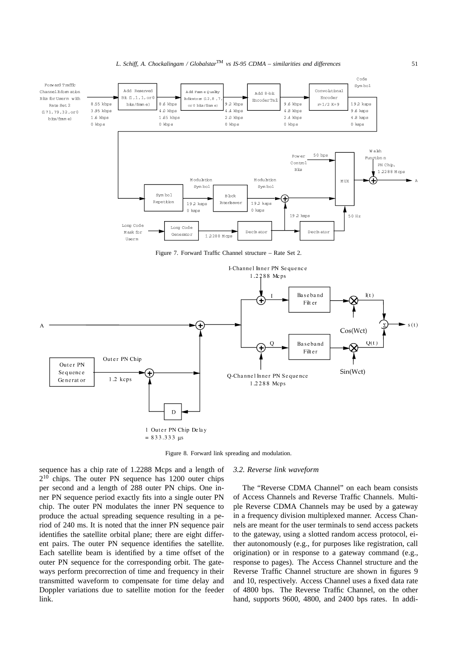

Figure 8. Forward link spreading and modulation.

sequence has a chip rate of 1.2288 Mcps and a length of 2<sup>10</sup> chips. The outer PN sequence has 1200 outer chips per second and a length of 288 outer PN chips. One inner PN sequence period exactly fits into a single outer PN chip. The outer PN modulates the inner PN sequence to produce the actual spreading sequence resulting in a period of 240 ms. It is noted that the inner PN sequence pair identifies the satellite orbital plane; there are eight different pairs. The outer PN sequence identifies the satellite. Each satellite beam is identified by a time offset of the outer PN sequence for the corresponding orbit. The gateways perform precorrection of time and frequency in their transmitted waveform to compensate for time delay and Doppler variations due to satellite motion for the feeder link.

# *3.2. Reverse link waveform*

The "Reverse CDMA Channel" on each beam consists of Access Channels and Reverse Traffic Channels. Multiple Reverse CDMA Channels may be used by a gateway in a frequency division multiplexed manner. Access Channels are meant for the user terminals to send access packets to the gateway, using a slotted random access protocol, either autonomously (e.g., for purposes like registration, call origination) or in response to a gateway command (e.g., response to pages). The Access Channel structure and the Reverse Traffic Channel structure are shown in figures 9 and 10, respectively. Access Channel uses a fixed data rate of 4800 bps. The Reverse Traffic Channel, on the other hand, supports 9600, 4800, and 2400 bps rates. In addi-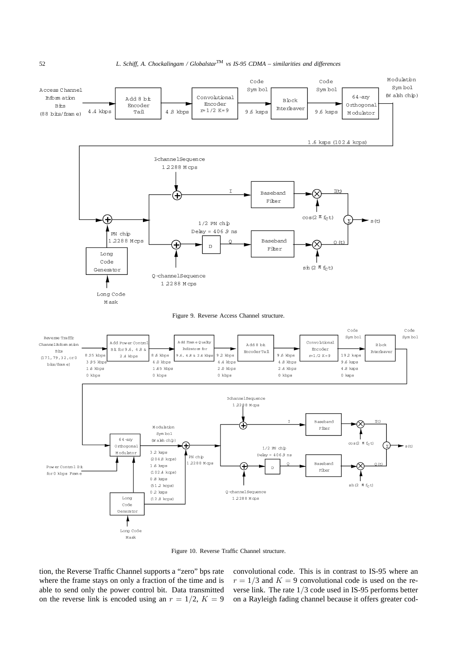

Figure 10. Reverse Traffic Channel structure.

tion, the Reverse Traffic Channel supports a "zero" bps rate where the frame stays on only a fraction of the time and is able to send only the power control bit. Data transmitted on the reverse link is encoded using an  $r = 1/2$ ,  $K = 9$  convolutional code. This is in contrast to IS-95 where an  $r = 1/3$  and  $K = 9$  convolutional code is used on the reverse link. The rate 1/3 code used in IS-95 performs better on a Rayleigh fading channel because it offers greater cod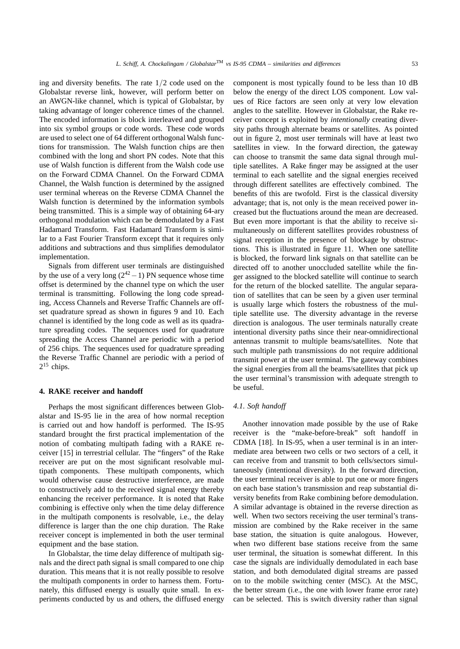ing and diversity benefits. The rate 1/2 code used on the Globalstar reverse link, however, will perform better on an AWGN-like channel, which is typical of Globalstar, by taking advantage of longer coherence times of the channel. The encoded information is block interleaved and grouped into six symbol groups or code words. These code words are used to select one of 64 different orthogonal Walsh functions for transmission. The Walsh function chips are then combined with the long and short PN codes. Note that this use of Walsh function is different from the Walsh code use on the Forward CDMA Channel. On the Forward CDMA Channel, the Walsh function is determined by the assigned user terminal whereas on the Reverse CDMA Channel the Walsh function is determined by the information symbols being transmitted. This is a simple way of obtaining 64-ary orthogonal modulation which can be demodulated by a Fast Hadamard Transform. Fast Hadamard Transform is similar to a Fast Fourier Transform except that it requires only additions and subtractions and thus simplifies demodulator implementation.

Signals from different user terminals are distinguished by the use of a very long  $(2^{42} - 1)$  PN sequence whose time offset is determined by the channel type on which the user terminal is transmitting. Following the long code spreading, Access Channels and Reverse Traffic Channels are offset quadrature spread as shown in figures 9 and 10. Each channel is identified by the long code as well as its quadrature spreading codes. The sequences used for quadrature spreading the Access Channel are periodic with a period of 256 chips. The sequences used for quadrature spreading the Reverse Traffic Channel are periodic with a period of  $2^{15}$  chips.

#### **4. RAKE receiver and handoff**

Perhaps the most significant differences between Globalstar and IS-95 lie in the area of how normal reception is carried out and how handoff is performed. The IS-95 standard brought the first practical implementation of the notion of combating multipath fading with a RAKE receiver [15] in terrestrial cellular. The "fingers" of the Rake receiver are put on the most significant resolvable multipath components. These multipath components, which would otherwise cause destructive interference, are made to constructively add to the received signal energy thereby enhancing the receiver performance. It is noted that Rake combining is effective only when the time delay difference in the multipath components is resolvable, i.e., the delay difference is larger than the one chip duration. The Rake receiver concept is implemented in both the user terminal equipment and the base station.

In Globalstar, the time delay difference of multipath signals and the direct path signal is small compared to one chip duration. This means that it is not really possible to resolve the multipath components in order to harness them. Fortunately, this diffused energy is usually quite small. In experiments conducted by us and others, the diffused energy component is most typically found to be less than 10 dB below the energy of the direct LOS component. Low values of Rice factors are seen only at very low elevation angles to the satellite. However in Globalstar, the Rake receiver concept is exploited by *intentionally* creating diversity paths through alternate beams or satellites. As pointed out in figure 2, most user terminals will have at least two satellites in view. In the forward direction, the gateway can choose to transmit the same data signal through multiple satellites. A Rake finger may be assigned at the user terminal to each satellite and the signal energies received through different satellites are effectively combined. The benefits of this are twofold. First is the classical diversity advantage; that is, not only is the mean received power increased but the fluctuations around the mean are decreased. But even more important is that the ability to receive simultaneously on different satellites provides robustness of signal reception in the presence of blockage by obstructions. This is illustrated in figure 11. When one satellite is blocked, the forward link signals on that satellite can be directed off to another unoccluded satellite while the finger assigned to the blocked satellite will continue to search for the return of the blocked satellite. The angular separation of satellites that can be seen by a given user terminal is usually large which fosters the robustness of the multiple satellite use. The diversity advantage in the reverse direction is analogous. The user terminals naturally create intentional diversity paths since their near-omnidirectional antennas transmit to multiple beams/satellites. Note that such multiple path transmissions do not require additional transmit power at the user terminal. The gateway combines the signal energies from all the beams/satellites that pick up the user terminal's transmission with adequate strength to be useful.

### *4.1. Soft handoff*

Another innovation made possible by the use of Rake receiver is the "make-before-break" soft handoff in CDMA [18]. In IS-95, when a user terminal is in an intermediate area between two cells or two sectors of a cell, it can receive from and transmit to both cells/sectors simultaneously (intentional diversity). In the forward direction, the user terminal receiver is able to put one or more fingers on each base station's transmission and reap substantial diversity benefits from Rake combining before demodulation. A similar advantage is obtained in the reverse direction as well. When two sectors receiving the user terminal's transmission are combined by the Rake receiver in the same base station, the situation is quite analogous. However, when two different base stations receive from the same user terminal, the situation is somewhat different. In this case the signals are individually demodulated in each base station, and both demodulated digital streams are passed on to the mobile switching center (MSC). At the MSC, the better stream (i.e., the one with lower frame error rate) can be selected. This is switch diversity rather than signal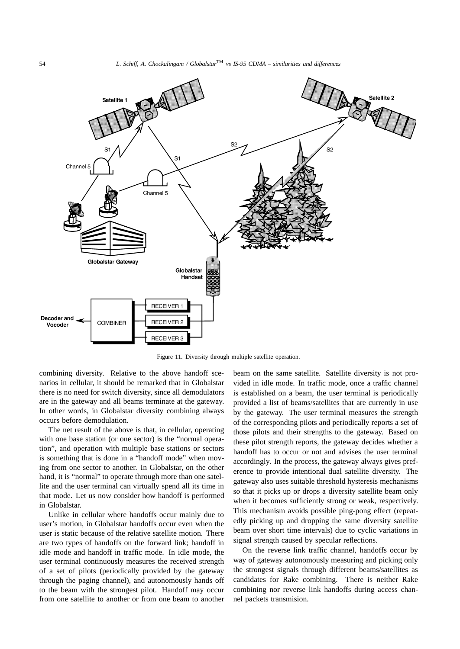

Figure 11. Diversity through multiple satellite operation.

combining diversity. Relative to the above handoff scenarios in cellular, it should be remarked that in Globalstar there is no need for switch diversity, since all demodulators are in the gateway and all beams terminate at the gateway. In other words, in Globalstar diversity combining always occurs before demodulation.

The net result of the above is that, in cellular, operating with one base station (or one sector) is the "normal operation", and operation with multiple base stations or sectors is something that is done in a "handoff mode" when moving from one sector to another. In Globalstar, on the other hand, it is "normal" to operate through more than one satellite and the user terminal can virtually spend all its time in that mode. Let us now consider how handoff is performed in Globalstar.

Unlike in cellular where handoffs occur mainly due to user's motion, in Globalstar handoffs occur even when the user is static because of the relative satellite motion. There are two types of handoffs on the forward link; handoff in idle mode and handoff in traffic mode. In idle mode, the user terminal continuously measures the received strength of a set of pilots (periodically provided by the gateway through the paging channel), and autonomously hands off to the beam with the strongest pilot. Handoff may occur from one satellite to another or from one beam to another

beam on the same satellite. Satellite diversity is not provided in idle mode. In traffic mode, once a traffic channel is established on a beam, the user terminal is periodically provided a list of beams/satellites that are currently in use by the gateway. The user terminal measures the strength of the corresponding pilots and periodically reports a set of those pilots and their strengths to the gateway. Based on these pilot strength reports, the gateway decides whether a handoff has to occur or not and advises the user terminal accordingly. In the process, the gateway always gives preference to provide intentional dual satellite diversity. The gateway also uses suitable threshold hysteresis mechanisms so that it picks up or drops a diversity satellite beam only when it becomes sufficiently strong or weak, respectively. This mechanism avoids possible ping-pong effect (repeatedly picking up and dropping the same diversity satellite beam over short time intervals) due to cyclic variations in signal strength caused by specular reflections.

On the reverse link traffic channel, handoffs occur by way of gateway autonomously measuring and picking only the strongest signals through different beams/satellites as candidates for Rake combining. There is neither Rake combining nor reverse link handoffs during access channel packets transmision.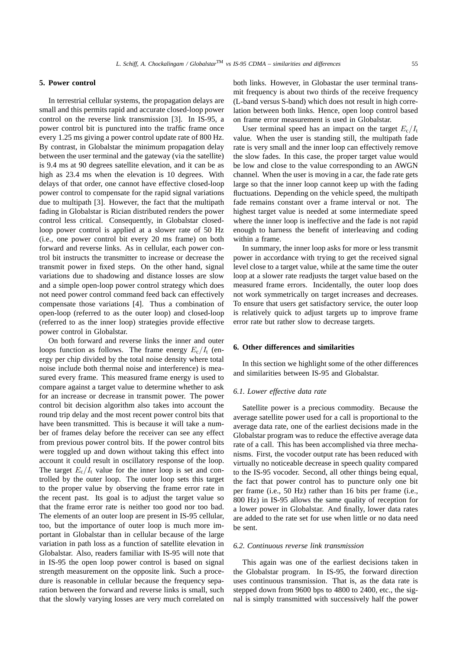# **5. Power control**

In terrestrial cellular systems, the propagation delays are small and this permits rapid and accurate closed-loop power control on the reverse link transmission [3]. In IS-95, a power control bit is punctured into the traffic frame once every 1.25 ms giving a power control update rate of 800 Hz. By contrast, in Globalstar the minimum propagation delay between the user terminal and the gateway (via the satellite) is 9.4 ms at 90 degrees satellite elevation, and it can be as high as 23.4 ms when the elevation is 10 degrees. With delays of that order, one cannot have effective closed-loop power control to compensate for the rapid signal variations due to multipath [3]. However, the fact that the multipath fading in Globalstar is Rician distributed renders the power control less critical. Consequently, in Globalstar closedloop power control is applied at a slower rate of 50 Hz (i.e., one power control bit every 20 ms frame) on both forward and reverse links. As in cellular, each power control bit instructs the transmitter to increase or decrease the transmit power in fixed steps. On the other hand, signal variations due to shadowing and distance losses are slow and a simple open-loop power control strategy which does not need power control command feed back can effectively compensate those variations [4]. Thus a combination of open-loop (referred to as the outer loop) and closed-loop (referred to as the inner loop) strategies provide effective power control in Globalstar.

On both forward and reverse links the inner and outer loops function as follows. The frame energy  $E_c/I_t$  (energy per chip divided by the total noise density where total noise include both thermal noise and interference) is measured every frame. This measured frame energy is used to compare against a target value to determine whether to ask for an increase or decrease in transmit power. The power control bit decision algorithm also takes into account the round trip delay and the most recent power control bits that have been transmitted. This is because it will take a number of frames delay before the receiver can see any effect from previous power control bits. If the power control bits were toggled up and down without taking this effect into account it could result in oscillatory response of the loop. The target  $E_c/I_t$  value for the inner loop is set and controlled by the outer loop. The outer loop sets this target to the proper value by observing the frame error rate in the recent past. Its goal is to adjust the target value so that the frame error rate is neither too good nor too bad. The elements of an outer loop are present in IS-95 cellular, too, but the importance of outer loop is much more important in Globalstar than in cellular because of the large variation in path loss as a function of satellite elevation in Globalstar. Also, readers familiar with IS-95 will note that in IS-95 the open loop power control is based on signal strength measurement on the opposite link. Such a procedure is reasonable in cellular because the frequency separation between the forward and reverse links is small, such that the slowly varying losses are very much correlated on

both links. However, in Globastar the user terminal transmit frequency is about two thirds of the receive frequency (L-band versus S-band) which does not result in high correlation between both links. Hence, open loop control based on frame error measurement is used in Globalstar.

User terminal speed has an impact on the target  $E_c/I_t$ value. When the user is standing still, the multipath fade rate is very small and the inner loop can effectively remove the slow fades. In this case, the proper target value would be low and close to the value corresponding to an AWGN channel. When the user is moving in a car, the fade rate gets large so that the inner loop cannot keep up with the fading fluctuations. Depending on the vehicle speed, the multipath fade remains constant over a frame interval or not. The highest target value is needed at some intermediate speed where the inner loop is ineffective and the fade is not rapid enough to harness the benefit of interleaving and coding within a frame.

In summary, the inner loop asks for more or less transmit power in accordance with trying to get the received signal level close to a target value, while at the same time the outer loop at a slower rate readjusts the target value based on the measured frame errors. Incidentally, the outer loop does not work symmetrically on target increases and decreases. To ensure that users get satisfactory service, the outer loop is relatively quick to adjust targets up to improve frame error rate but rather slow to decrease targets.

#### **6. Other differences and similarities**

In this section we highlight some of the other differences and similarities between IS-95 and Globalstar.

#### *6.1. Lower effective data rate*

Satellite power is a precious commodity. Because the average satellite power used for a call is proportional to the average data rate, one of the earliest decisions made in the Globalstar program was to reduce the effective average data rate of a call. This has been accomplished via three mechanisms. First, the vocoder output rate has been reduced with virtually no noticeable decrease in speech quality compared to the IS-95 vocoder. Second, all other things being equal, the fact that power control has to puncture only one bit per frame (i.e., 50 Hz) rather than 16 bits per frame (i.e., 800 Hz) in IS-95 allows the same quality of reception for a lower power in Globalstar. And finally, lower data rates are added to the rate set for use when little or no data need be sent.

#### *6.2. Continuous reverse link transmission*

This again was one of the earliest decisions taken in the Globalstar program. In IS-95, the forward direction uses continuous transmission. That is, as the data rate is stepped down from 9600 bps to 4800 to 2400, etc., the signal is simply transmitted with successively half the power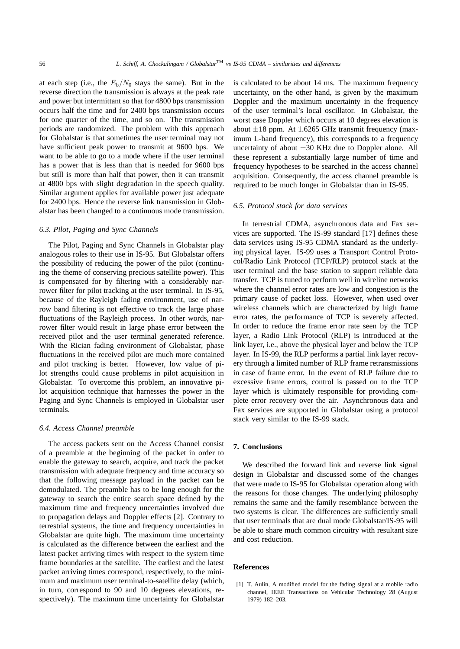at each step (i.e., the  $E_b/N_0$  stays the same). But in the reverse direction the transmission is always at the peak rate and power but intermittant so that for 4800 bps transmission occurs half the time and for 2400 bps transmission occurs for one quarter of the time, and so on. The transmission periods are randomized. The problem with this approach for Globalstar is that sometimes the user terminal may not have sufficient peak power to transmit at 9600 bps. We want to be able to go to a mode where if the user terminal has a power that is less than that is needed for 9600 bps but still is more than half that power, then it can transmit at 4800 bps with slight degradation in the speech quality. Similar argument applies for available power just adequate for 2400 bps. Hence the reverse link transmission in Globalstar has been changed to a continuous mode transmission.

# *6.3. Pilot, Paging and Sync Channels*

The Pilot, Paging and Sync Channels in Globalstar play analogous roles to their use in IS-95. But Globalstar offers the possibility of reducing the power of the pilot (continuing the theme of conserving precious satellite power). This is compensated for by filtering with a considerably narrower filter for pilot tracking at the user terminal. In IS-95, because of the Rayleigh fading environment, use of narrow band filtering is not effective to track the large phase fluctuations of the Rayleigh process. In other words, narrower filter would result in large phase error between the received pilot and the user terminal generated reference. With the Rician fading environment of Globalstar, phase fluctuations in the received pilot are much more contained and pilot tracking is better. However, low value of pilot strengths could cause problems in pilot acquisition in Globalstar. To overcome this problem, an innovative pilot acquisition technique that harnesses the power in the Paging and Sync Channels is employed in Globalstar user terminals.

# *6.4. Access Channel preamble*

The access packets sent on the Access Channel consist of a preamble at the beginning of the packet in order to enable the gateway to search, acquire, and track the packet transmission with adequate frequency and time accuracy so that the following message payload in the packet can be demodulated. The preamble has to be long enough for the gateway to search the entire search space defined by the maximum time and frequency uncertainties involved due to propagation delays and Doppler effects [2]. Contrary to terrestrial systems, the time and frequency uncertainties in Globalstar are quite high. The maximum time uncertainty is calculated as the difference between the earliest and the latest packet arriving times with respect to the system time frame boundaries at the satellite. The earliest and the latest packet arriving times correspond, respectively, to the minimum and maximum user terminal-to-satellite delay (which, in turn, correspond to 90 and 10 degrees elevations, respectively). The maximum time uncertainty for Globalstar is calculated to be about 14 ms. The maximum frequency uncertainty, on the other hand, is given by the maximum Doppler and the maximum uncertainty in the frequency of the user terminal's local oscillator. In Globalstar, the worst case Doppler which occurs at 10 degrees elevation is about  $\pm 18$  ppm. At 1.6265 GHz transmit frequency (maximum L-band frequency), this corresponds to a frequency uncertainty of about  $\pm 30$  KHz due to Doppler alone. All these represent a substantially large number of time and frequency hypotheses to be searched in the access channel acquisition. Consequently, the access channel preamble is required to be much longer in Globalstar than in IS-95.

#### *6.5. Protocol stack for data services*

In terrestrial CDMA, asynchronous data and Fax services are supported. The IS-99 standard [17] defines these data services using IS-95 CDMA standard as the underlying physical layer. IS-99 uses a Transport Control Protocol/Radio Link Protocol (TCP/RLP) protocol stack at the user terminal and the base station to support reliable data transfer. TCP is tuned to perform well in wireline networks where the channel error rates are low and congestion is the primary cause of packet loss. However, when used over wireless channels which are characterized by high frame error rates, the performance of TCP is severely affected. In order to reduce the frame error rate seen by the TCP layer, a Radio Link Protocol (RLP) is introduced at the link layer, i.e., above the physical layer and below the TCP layer. In IS-99, the RLP performs a partial link layer recovery through a limited number of RLP frame retransmissions in case of frame error. In the event of RLP failure due to excessive frame errors, control is passed on to the TCP layer which is ultimately responsible for providing complete error recovery over the air. Asynchronous data and Fax services are supported in Globalstar using a protocol stack very similar to the IS-99 stack.

# **7. Conclusions**

We described the forward link and reverse link signal design in Globalstar and discussed some of the changes that were made to IS-95 for Globalstar operation along with the reasons for those changes. The underlying philosophy remains the same and the family resemblance between the two systems is clear. The differences are sufficiently small that user terminals that are dual mode Globalstar/IS-95 will be able to share much common circuitry with resultant size and cost reduction.

# **References**

[1] T. Aulin, A modified model for the fading signal at a mobile radio channel, IEEE Transactions on Vehicular Technology 28 (August 1979) 182–203.